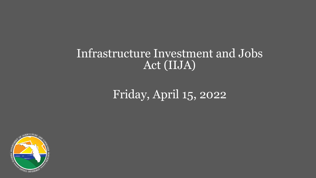#### Infrastructure Investment and Jobs Act (IIJA)

### Friday, April 15, 2022

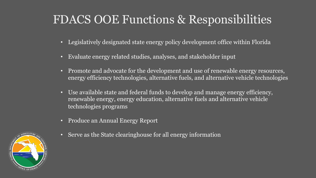#### FDACS OOE Functions & Responsibilities

- Legislatively designated state energy policy development office within Florida
- Evaluate energy related studies, analyses, and stakeholder input
- Promote and advocate for the development and use of renewable energy resources, energy efficiency technologies, alternative fuels, and alternative vehicle technologies
- Use available state and federal funds to develop and manage energy efficiency, renewable energy, energy education, alternative fuels and alternative vehicle technologies programs
- Produce an Annual Energy Report
- Serve as the State clearinghouse for all energy information

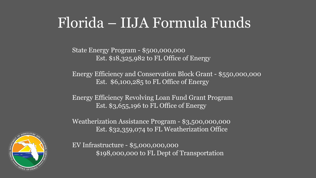# Florida – IIJA Formula Funds

State Energy Program - \$500,000,000 Est. \$18,325,982 to FL Office of Energy

Energy Efficiency and Conservation Block Grant - \$550,000,000 Est. \$6,100,285 to FL Office of Energy

Energy Efficiency Revolving Loan Fund Grant Program Est. \$3,655,196 to FL Office of Energy

Weatherization Assistance Program - \$3,500,000,000 Est. \$32,359,074 to FL Weatherization Office

EV Infrastructure - \$5,000,000,000 \$198,000,000 to FL Dept of Transportation

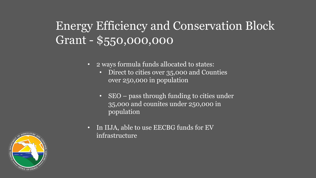### Energy Efficiency and Conservation Block Grant - \$550,000,000

- 2 ways formula funds allocated to states:
	- Direct to cities over 35,000 and Counties over 250,000 in population
	- SEO pass through funding to cities under 35,000 and counites under 250,000 in population
- In IIJA, able to use EECBG funds for EV infrastructure

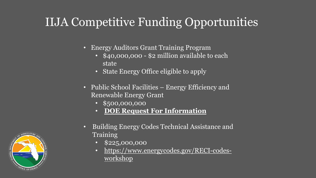## IIJA Com[petitive Funding Opp](https://r20.rs6.net/tn.jsp?f=001wFdH76u550oN1fHMBMvDw2kbbl6KJRrT30_FO2tdSuSQIt4StjbYAH-etnYcAR6j1cBSmwNsklRLq3wgGtciwAgQ__6mGvXK-Ly8mBBvyNyHmw3xsrNvRqEQRLZycnG0QpTnSSB5GBDJv9tQwZAk-i6qHOwEE9xEgPQoxRAjg6nLsbgvIsPhk86G_xs8PPSElRSlyEpRhIYj32-sDn-hc944uEvKIjIscZEH74HKUkw=&c=3l2qsS2IcR7ld9WhxigyZmuoZmdUWf4GzARtIO9Sjz1IciYbEfNTlg==&ch=gnt897YT6jfC0YJuuN6EpOsLtBupUR8QsGzUWGRdJfK8wlKEMzFB9Q==)

- Energy Auditors Grant Training Progr
	- $$40,000,000$  \$2 million available state
	- State Energy Office eligible to app
- Public School Facilities Energy Effic Renewable Energy Grant
	- \$500,000,000
	- **DOE Request For Information**
- **Building Energy Codes Technical Assi** Training
	- \$225,000,000
	- https://www.energycodes.gov/RI workshop

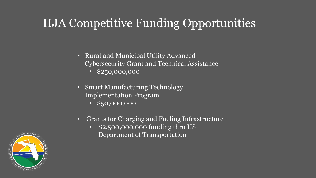### IIJA Competitive Funding Opportunities

- Rural and Municipal Utility Advanced Cybersecurity Grant and Technical Assistance
	- $\cdot$  \$250,000,000
- Smart Manufacturing Technology Implementation Program
	- \$50,000,000
- Grants for Charging and Fueling Infrastructure
	- \$2,500,000,000 funding thru US Department of Transportation